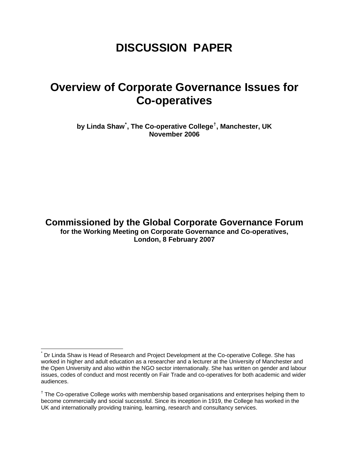# **DISCUSSION PAPER**

## **Overview of Corporate Governance Issues for Co-operatives**

**by Linda Shaw[\\*](#page-0-0) , The Co-operative College[†](#page-0-1) , Manchester, UK November 2006** 

**Commissioned by the Global Corporate Governance Forum for the Working Meeting on Corporate Governance and Co-operatives, London, 8 February 2007** 

 $\overline{a}$ 

<span id="page-0-0"></span><sup>\*</sup> Dr Linda Shaw is Head of Research and Project Development at the Co-operative College. She has worked in higher and adult education as a researcher and a lecturer at the University of Manchester and the Open University and also within the NGO sector internationally. She has written on gender and labour issues, codes of conduct and most recently on Fair Trade and co-operatives for both academic and wider audiences.

<span id="page-0-1"></span><sup>&</sup>lt;sup>†</sup> The Co-operative College works with membership based organisations and enterprises helping them to become commercially and social successful. Since its inception in 1919, the College has worked in the UK and internationally providing training, learning, research and consultancy services.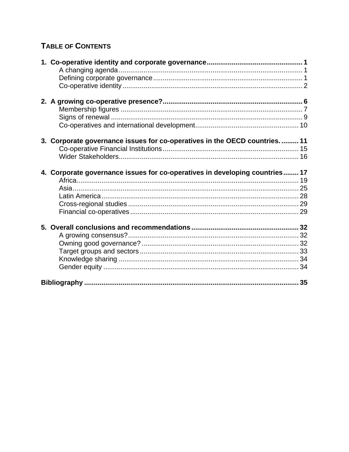## **TABLE OF CONTENTS**

|  | 3. Corporate governance issues for co-operatives in the OECD countries.  11 |  |
|--|-----------------------------------------------------------------------------|--|
|  |                                                                             |  |
|  |                                                                             |  |
|  |                                                                             |  |
|  | 4. Corporate governance issues for co-operatives in developing countries 17 |  |
|  |                                                                             |  |
|  |                                                                             |  |
|  |                                                                             |  |
|  |                                                                             |  |
|  |                                                                             |  |
|  |                                                                             |  |
|  |                                                                             |  |
|  |                                                                             |  |
|  |                                                                             |  |
|  |                                                                             |  |
|  |                                                                             |  |
|  |                                                                             |  |
|  |                                                                             |  |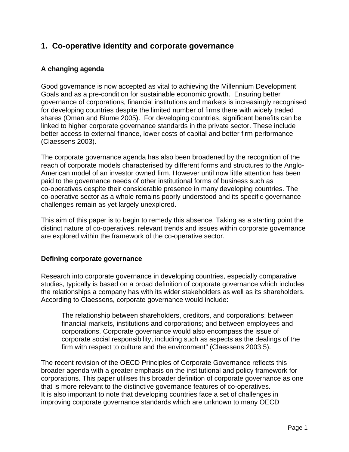### <span id="page-2-0"></span>**1. Co-operative identity and corporate governance**

### **A changing agenda**

Good governance is now accepted as vital to achieving the Millennium Development Goals and as a pre-condition for sustainable economic growth. Ensuring better governance of corporations, financial institutions and markets is increasingly recognised for developing countries despite the limited number of firms there with widely traded shares (Oman and Blume 2005). For developing countries, significant benefits can be linked to higher corporate governance standards in the private sector. These include better access to external finance, lower costs of capital and better firm performance (Claessens 2003).

The corporate governance agenda has also been broadened by the recognition of the reach of corporate models characterised by different forms and structures to the Anglo-American model of an investor owned firm. However until now little attention has been paid to the governance needs of other institutional forms of business such as co-operatives despite their considerable presence in many developing countries. The co-operative sector as a whole remains poorly understood and its specific governance challenges remain as yet largely unexplored.

This aim of this paper is to begin to remedy this absence. Taking as a starting point the distinct nature of co-operatives, relevant trends and issues within corporate governance are explored within the framework of the co-operative sector.

### **Defining corporate governance**

Research into corporate governance in developing countries, especially comparative studies, typically is based on a broad definition of corporate governance which includes the relationships a company has with its wider stakeholders as well as its shareholders. According to Claessens, corporate governance would include:

The relationship between shareholders, creditors, and corporations; between financial markets, institutions and corporations; and between employees and corporations. Corporate governance would also encompass the issue of corporate social responsibility, including such as aspects as the dealings of the firm with respect to culture and the environment" (Claessens 2003:5).

The recent revision of the OECD Principles of Corporate Governance reflects this broader agenda with a greater emphasis on the institutional and policy framework for corporations. This paper utilises this broader definition of corporate governance as one that is more relevant to the distinctive governance features of co-operatives. It is also important to note that developing countries face a set of challenges in improving corporate governance standards which are unknown to many OECD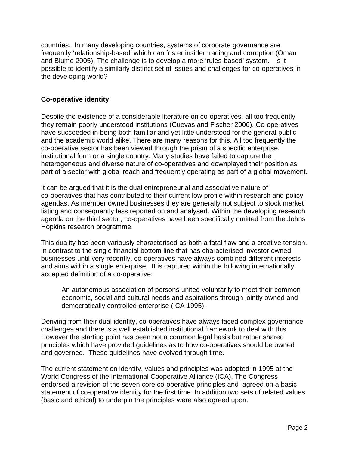<span id="page-3-0"></span>countries. In many developing countries, systems of corporate governance are frequently 'relationship-based' which can foster insider trading and corruption (Oman and Blume 2005). The challenge is to develop a more 'rules-based' system. Is it possible to identify a similarly distinct set of issues and challenges for co-operatives in the developing world?

#### **Co-operative identity**

Despite the existence of a considerable literature on co-operatives, all too frequently they remain poorly understood institutions (Cuevas and Fischer 2006). Co-operatives have succeeded in being both familiar and yet little understood for the general public and the academic world alike. There are many reasons for this. All too frequently the co-operative sector has been viewed through the prism of a specific enterprise, institutional form or a single country. Many studies have failed to capture the heterogeneous and diverse nature of co-operatives and downplayed their position as part of a sector with global reach and frequently operating as part of a global movement.

It can be argued that it is the dual entrepreneurial and associative nature of co-operatives that has contributed to their current low profile within research and policy agendas. As member owned businesses they are generally not subject to stock market listing and consequently less reported on and analysed. Within the developing research agenda on the third sector, co-operatives have been specifically omitted from the Johns Hopkins research programme.

This duality has been variously characterised as both a fatal flaw and a creative tension. In contrast to the single financial bottom line that has characterised investor owned businesses until very recently, co-operatives have always combined different interests and aims within a single enterprise. It is captured within the following internationally accepted definition of a co-operative:

An autonomous association of persons united voluntarily to meet their common economic, social and cultural needs and aspirations through jointly owned and democratically controlled enterprise (ICA 1995).

Deriving from their dual identity, co-operatives have always faced complex governance challenges and there is a well established institutional framework to deal with this. However the starting point has been not a common legal basis but rather shared principles which have provided guidelines as to how co-operatives should be owned and governed. These guidelines have evolved through time.

The current statement on identity, values and principles was adopted in 1995 at the World Congress of the International Cooperative Alliance (ICA). The Congress endorsed a revision of the seven core co-operative principles and agreed on a basic statement of co-operative identity for the first time. In addition two sets of related values (basic and ethical) to underpin the principles were also agreed upon.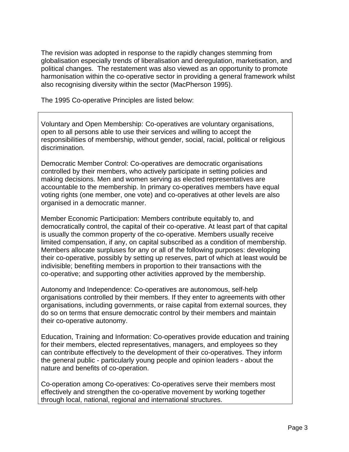The revision was adopted in response to the rapidly changes stemming from globalisation especially trends of liberalisation and deregulation, marketisation, and political changes. The restatement was also viewed as an opportunity to promote harmonisation within the co-operative sector in providing a general framework whilst also recognising diversity within the sector (MacPherson 1995).

The 1995 Co-operative Principles are listed below:

Voluntary and Open Membership: Co-operatives are voluntary organisations, open to all persons able to use their services and willing to accept the responsibilities of membership, without gender, social, racial, political or religious discrimination.

Democratic Member Control: Co-operatives are democratic organisations controlled by their members, who actively participate in setting policies and making decisions. Men and women serving as elected representatives are accountable to the membership. In primary co-operatives members have equal voting rights (one member, one vote) and co-operatives at other levels are also organised in a democratic manner.

Member Economic Participation: Members contribute equitably to, and democratically control, the capital of their co-operative. At least part of that capital is usually the common property of the co-operative. Members usually receive limited compensation, if any, on capital subscribed as a condition of membership. Members allocate surpluses for any or all of the following purposes: developing their co-operative, possibly by setting up reserves, part of which at least would be indivisible; benefiting members in proportion to their transactions with the co-operative; and supporting other activities approved by the membership.

Autonomy and Independence: Co-operatives are autonomous, self-help organisations controlled by their members. If they enter to agreements with other organisations, including governments, or raise capital from external sources, they do so on terms that ensure democratic control by their members and maintain their co-operative autonomy.

Education, Training and Information: Co-operatives provide education and training for their members, elected representatives, managers, and employees so they can contribute effectively to the development of their co-operatives. They inform the general public - particularly young people and opinion leaders - about the nature and benefits of co-operation.

Co-operation among Co-operatives: Co-operatives serve their members most effectively and strengthen the co-operative movement by working together through local, national, regional and international structures.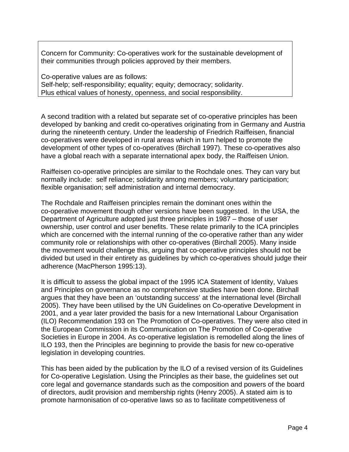Concern for Community: Co-operatives work for the sustainable development of their communities through policies approved by their members.

Co-operative values are as follows: Self-help; self-responsibility; equality; equity; democracy; solidarity. Plus ethical values of honesty, openness, and social responsibility.

A second tradition with a related but separate set of co-operative principles has been developed by banking and credit co-operatives originating from in Germany and Austria during the nineteenth century. Under the leadership of Friedrich Raiffeisen, financial co-operatives were developed in rural areas which in turn helped to promote the development of other types of co-operatives (Birchall 1997). These co-operatives also have a global reach with a separate international apex body, the Raiffeisen Union.

Raiffeisen co-operative principles are similar to the Rochdale ones. They can vary but normally include: self reliance; solidarity among members; voluntary participation; flexible organisation; self administration and internal democracy.

The Rochdale and Raiffeisen principles remain the dominant ones within the co-operative movement though other versions have been suggested. In the USA, the Department of Agriculture adopted just three principles in 1987 – those of user ownership, user control and user benefits. These relate primarily to the ICA principles which are concerned with the internal running of the co-operative rather than any wider community role or relationships with other co-operatives (Birchall 2005). Many inside the movement would challenge this, arguing that co-operative principles should not be divided but used in their entirety as guidelines by which co-operatives should judge their adherence (MacPherson 1995:13).

It is difficult to assess the global impact of the 1995 ICA Statement of Identity, Values and Principles on governance as no comprehensive studies have been done. Birchall argues that they have been an 'outstanding success' at the international level (Birchall 2005). They have been utilised by the UN Guidelines on Co-operative Development in 2001, and a year later provided the basis for a new International Labour Organisation (ILO) Recommendation 193 on The Promotion of Co-operatives. They were also cited in the European Commission in its Communication on The Promotion of Co-operative Societies in Europe in 2004. As co-operative legislation is remodelled along the lines of ILO 193, then the Principles are beginning to provide the basis for new co-operative legislation in developing countries.

This has been aided by the publication by the ILO of a revised version of its Guidelines for Co-operative Legislation. Using the Principles as their base, the guidelines set out core legal and governance standards such as the composition and powers of the board of directors, audit provision and membership rights (Henry 2005). A stated aim is to promote harmonisation of co-operative laws so as to facilitate competitiveness of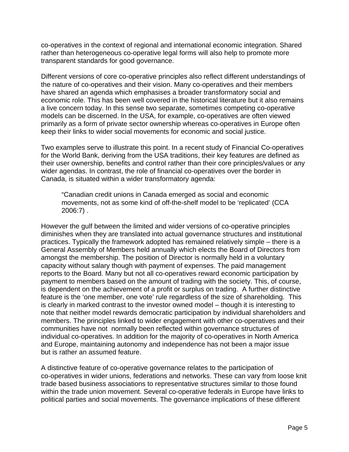co-operatives in the context of regional and international economic integration. Shared rather than heterogeneous co-operative legal forms will also help to promote more transparent standards for good governance.

Different versions of core co-operative principles also reflect different understandings of the nature of co-operatives and their vision. Many co-operatives and their members have shared an agenda which emphasises a broader transformatory social and economic role. This has been well covered in the historical literature but it also remains a live concern today. In this sense two separate, sometimes competing co-operative models can be discerned. In the USA, for example, co-operatives are often viewed primarily as a form of private sector ownership whereas co-operatives in Europe often keep their links to wider social movements for economic and social justice.

Two examples serve to illustrate this point. In a recent study of Financial Co-operatives for the World Bank, deriving from the USA traditions, their key features are defined as their user ownership, benefits and control rather than their core principles/values or any wider agendas. In contrast, the role of financial co-operatives over the border in Canada, is situated within a wider transformatory agenda:

"Canadian credit unions in Canada emerged as social and economic movements, not as some kind of off-the-shelf model to be 'replicated' (CCA 2006:7) .

However the gulf between the limited and wider versions of co-operative principles diminishes when they are translated into actual governance structures and institutional practices. Typically the framework adopted has remained relatively simple – there is a General Assembly of Members held annually which elects the Board of Directors from amongst the membership. The position of Director is normally held in a voluntary capacity without salary though with payment of expenses. The paid management reports to the Board. Many but not all co-operatives reward economic participation by payment to members based on the amount of trading with the society. This, of course, is dependent on the achievement of a profit or surplus on trading. A further distinctive feature is the 'one member, one vote' rule regardless of the size of shareholding. This is clearly in marked contrast to the investor owned model – though it is interesting to note that neither model rewards democratic participation by individual shareholders and members. The principles linked to wider engagement with other co-operatives and their communities have not normally been reflected within governance structures of individual co-operatives. In addition for the majority of co-operatives in North America and Europe, maintaining autonomy and independence has not been a major issue but is rather an assumed feature.

A distinctive feature of co-operative governance relates to the participation of co-operatives in wider unions, federations and networks. These can vary from loose knit trade based business associations to representative structures similar to those found within the trade union movement. Several co-operative federals in Europe have links to political parties and social movements. The governance implications of these different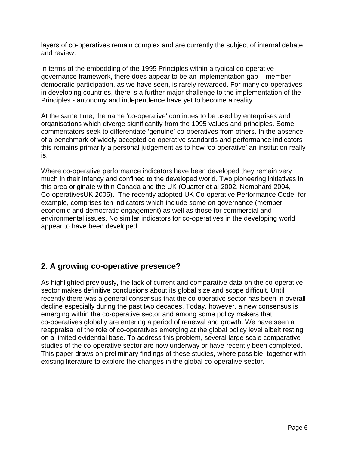<span id="page-7-0"></span>layers of co-operatives remain complex and are currently the subject of internal debate and review.

In terms of the embedding of the 1995 Principles within a typical co-operative governance framework, there does appear to be an implementation gap – member democratic participation, as we have seen, is rarely rewarded. For many co-operatives in developing countries, there is a further major challenge to the implementation of the Principles - autonomy and independence have yet to become a reality.

At the same time, the name 'co-operative' continues to be used by enterprises and organisations which diverge significantly from the 1995 values and principles. Some commentators seek to differentiate 'genuine' co-operatives from others. In the absence of a benchmark of widely accepted co-operative standards and performance indicators this remains primarily a personal judgement as to how 'co-operative' an institution really is.

Where co-operative performance indicators have been developed they remain very much in their infancy and confined to the developed world. Two pioneering initiatives in this area originate within Canada and the UK (Quarter et al 2002, Nembhard 2004, Co-operativesUK 2005). The recently adopted UK Co-operative Performance Code, for example, comprises ten indicators which include some on governance (member economic and democratic engagement) as well as those for commercial and environmental issues. No similar indicators for co-operatives in the developing world appear to have been developed.

### **2. A growing co-operative presence?**

As highlighted previously, the lack of current and comparative data on the co-operative sector makes definitive conclusions about its global size and scope difficult. Until recently there was a general consensus that the co-operative sector has been in overall decline especially during the past two decades. Today, however, a new consensus is emerging within the co-operative sector and among some policy makers that co-operatives globally are entering a period of renewal and growth. We have seen a reappraisal of the role of co-operatives emerging at the global policy level albeit resting on a limited evidential base. To address this problem, several large scale comparative studies of the co-operative sector are now underway or have recently been completed. This paper draws on preliminary findings of these studies, where possible, together with existing literature to explore the changes in the global co-operative sector.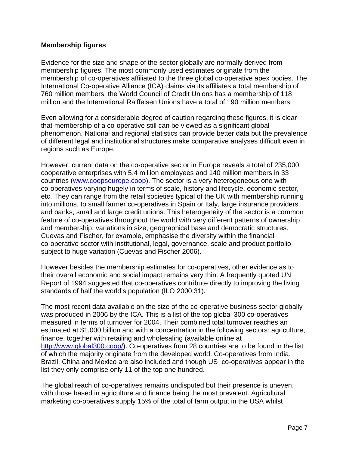### <span id="page-8-0"></span>**Membership figures**

Evidence for the size and shape of the sector globally are normally derived from membership figures. The most commonly used estimates originate from the membership of co-operatives affiliated to the three global co-operative apex bodies. The International Co-operative Alliance (ICA) claims via its affiliates a total membership of 760 million members, the World Council of Credit Unions has a membership of 118 million and the International Raiffeisen Unions have a total of 190 million members.

Even allowing for a considerable degree of caution regarding these figures, it is clear that membership of a co-operative still can be viewed as a significant global phenomenon. National and regional statistics can provide better data but the prevalence of different legal and institutional structures make comparative analyses difficult even in regions such as Europe.

However, current data on the co-operative sector in Europe reveals a total of 235,000 cooperative enterprises with 5.4 million employees and 140 million members in 33 countries [\(www.coopseurope.coop](http://www.coopseurope.coop/)). The sector is a very heterogeneous one with co-operatives varying hugely in terms of scale, history and lifecycle, economic sector, etc. They can range from the retail societies typical of the UK with membership running into millions, to small farmer co-operatives in Spain or Italy, large insurance providers and banks, small and large credit unions. This heterogeneity of the sector is a common feature of co-operatives throughout the world with very different patterns of ownership and membership, variations in size, geographical base and democratic structures. Cuevas and Fischer, for example, emphasise the diversity within the financial co-operative sector with institutional, legal, governance, scale and product portfolio subject to huge variation (Cuevas and Fischer 2006).

However besides the membership estimates for co-operatives, other evidence as to their overall economic and social impact remains very thin. A frequently quoted UN Report of 1994 suggested that co-operatives contribute directly to improving the living standards of half the world's population (ILO 2000:31).

The most recent data available on the size of the co-operative business sector globally was produced in 2006 by the ICA. This is a list of the top global 300 co-operatives measured in terms of turnover for 2004. Their combined total turnover reaches an estimated at \$1,000 billion and with a concentration in the following sectors: agriculture, finance, together with retailing and wholesaling (available online at <http://www.global300.coop/>). Co-operatives from 28 countries are to be found in the list of which the majority originate from the developed world. Co-operatives from India, Brazil, China and Mexico are also included and though US co-operatives appear in the list they only comprise only 11 of the top one hundred.

The global reach of co-operatives remains undisputed but their presence is uneven, with those based in agriculture and finance being the most prevalent. Agricultural marketing co-operatives supply 15% of the total of farm output in the USA whilst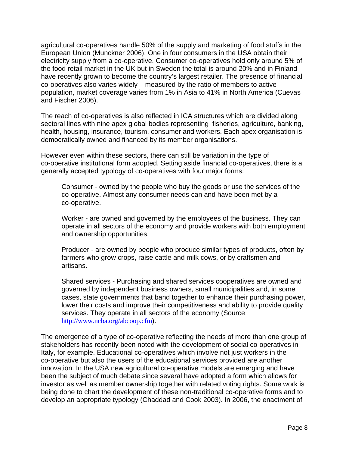agricultural co-operatives handle 50% of the supply and marketing of food stuffs in the European Union (Munckner 2006). One in four consumers in the USA obtain their electricity supply from a co-operative. Consumer co-operatives hold only around 5% of the food retail market in the UK but in Sweden the total is around 20% and in Finland have recently grown to become the country's largest retailer. The presence of financial co-operatives also varies widely – measured by the ratio of members to active population, market coverage varies from 1% in Asia to 41% in North America (Cuevas and Fischer 2006).

The reach of co-operatives is also reflected in ICA structures which are divided along sectoral lines with nine apex global bodies representing fisheries, agriculture, banking, health, housing, insurance, tourism, consumer and workers. Each apex organisation is democratically owned and financed by its member organisations.

However even within these sectors, there can still be variation in the type of co-operative institutional form adopted. Setting aside financial co-operatives, there is a generally accepted typology of co-operatives with four major forms:

Consumer - owned by the people who buy the goods or use the services of the co-operative. Almost any consumer needs can and have been met by a co-operative.

Worker - are owned and governed by the employees of the business. They can operate in all sectors of the economy and provide workers with both employment and ownership opportunities.

Producer - are owned by people who produce similar types of products, often by farmers who grow crops, raise cattle and milk cows, or by craftsmen and artisans.

Shared services - Purchasing and shared services cooperatives are owned and governed by independent business owners, small municipalities and, in some cases, state governments that band together to enhance their purchasing power, lower their costs and improve their competitiveness and ability to provide quality services. They operate in all sectors of the economy (Source <http://www.ncba.org/abcoop.cfm>).

The emergence of a type of co-operative reflecting the needs of more than one group of stakeholders has recently been noted with the development of social co-operatives in Italy, for example. Educational co-operatives which involve not just workers in the co-operative but also the users of the educational services provided are another innovation. In the USA new agricultural co-operative models are emerging and have been the subject of much debate since several have adopted a form which allows for investor as well as member ownership together with related voting rights. Some work is being done to chart the development of these non-traditional co-operative forms and to develop an appropriate typology (Chaddad and Cook 2003). In 2006, the enactment of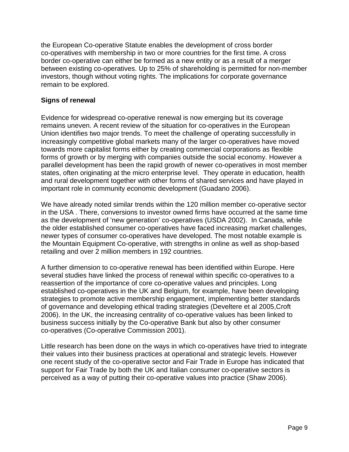<span id="page-10-0"></span>the European Co-operative Statute enables the development of cross border co-operatives with membership in two or more countries for the first time. A cross border co-operative can either be formed as a new entity or as a result of a merger between existing co-operatives. Up to 25% of shareholding is permitted for non-member investors, though without voting rights. The implications for corporate governance remain to be explored.

### **Signs of renewal**

Evidence for widespread co-operative renewal is now emerging but its coverage remains uneven. A recent review of the situation for co-operatives in the European Union identifies two major trends. To meet the challenge of operating successfully in increasingly competitive global markets many of the larger co-operatives have moved towards more capitalist forms either by creating commercial corporations as flexible forms of growth or by merging with companies outside the social economy. However a parallel development has been the rapid growth of newer co-operatives in most member states, often originating at the micro enterprise level. They operate in education, health and rural development together with other forms of shared services and have played in important role in community economic development (Guadano 2006).

We have already noted similar trends within the 120 million member co-operative sector in the USA . There, conversions to investor owned firms have occurred at the same time as the development of 'new generation' co-operatives (USDA 2002). In Canada, while the older established consumer co-operatives have faced increasing market challenges, newer types of consumer co-operatives have developed. The most notable example is the Mountain Equipment Co-operative, with strengths in online as well as shop-based retailing and over 2 million members in 192 countries.

A further dimension to co-operative renewal has been identified within Europe. Here several studies have linked the process of renewal within specific co-operatives to a reassertion of the importance of core co-operative values and principles. Long established co-operatives in the UK and Belgium, for example, have been developing strategies to promote active membership engagement, implementing better standards of governance and developing ethical trading strategies (Develtere et al 2005,Croft 2006). In the UK, the increasing centrality of co-operative values has been linked to business success initially by the Co-operative Bank but also by other consumer co-operatives (Co-operative Commission 2001).

Little research has been done on the ways in which co-operatives have tried to integrate their values into their business practices at operational and strategic levels. However one recent study of the co-operative sector and Fair Trade in Europe has indicated that support for Fair Trade by both the UK and Italian consumer co-operative sectors is perceived as a way of putting their co-operative values into practice (Shaw 2006).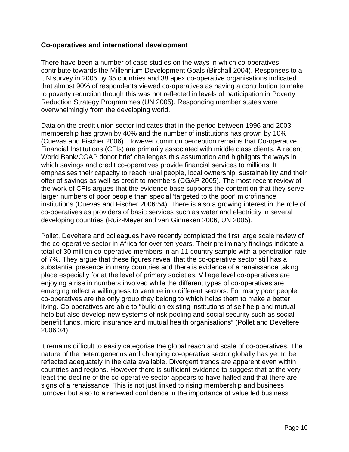### <span id="page-11-0"></span>**Co-operatives and international development**

There have been a number of case studies on the ways in which co-operatives contribute towards the Millennium Development Goals (Birchall 2004). Responses to a UN survey in 2005 by 35 countries and 38 apex co-operative organisations indicated that almost 90% of respondents viewed co-operatives as having a contribution to make to poverty reduction though this was not reflected in levels of participation in Poverty Reduction Strategy Programmes (UN 2005). Responding member states were overwhelmingly from the developing world.

Data on the credit union sector indicates that in the period between 1996 and 2003, membership has grown by 40% and the number of institutions has grown by 10% (Cuevas and Fischer 2006). However common perception remains that Co-operative Financial Institutions (CFIs) are primarily associated with middle class clients. A recent World Bank/CGAP donor brief challenges this assumption and highlights the ways in which savings and credit co-operatives provide financial services to millions. It emphasises their capacity to reach rural people, local ownership, sustainability and their offer of savings as well as credit to members (CGAP 2005). The most recent review of the work of CFIs argues that the evidence base supports the contention that they serve larger numbers of poor people than special 'targeted to the poor' microfinance institutions (Cuevas and Fischer 2006:54). There is also a growing interest in the role of co-operatives as providers of basic services such as water and electricity in several developing countries (Ruiz-Meyer and van Ginneken 2006, UN 2005).

Pollet, Develtere and colleagues have recently completed the first large scale review of the co-operative sector in Africa for over ten years. Their preliminary findings indicate a total of 30 million co-operative members in an 11 country sample with a penetration rate of 7%. They argue that these figures reveal that the co-operative sector still has a substantial presence in many countries and there is evidence of a renaissance taking place especially for at the level of primary societies. Village level co-operatives are enjoying a rise in numbers involved while the different types of co-operatives are emerging reflect a willingness to venture into different sectors. For many poor people, co-operatives are the only group they belong to which helps them to make a better living. Co-operatives are able to "build on existing institutions of self help and mutual help but also develop new systems of risk pooling and social security such as social benefit funds, micro insurance and mutual health organisations" (Pollet and Develtere 2006:34).

It remains difficult to easily categorise the global reach and scale of co-operatives. The nature of the heterogeneous and changing co-operative sector globally has yet to be reflected adequately in the data available. Divergent trends are apparent even within countries and regions. However there is sufficient evidence to suggest that at the very least the decline of the co-operative sector appears to have halted and that there are signs of a renaissance. This is not just linked to rising membership and business turnover but also to a renewed confidence in the importance of value led business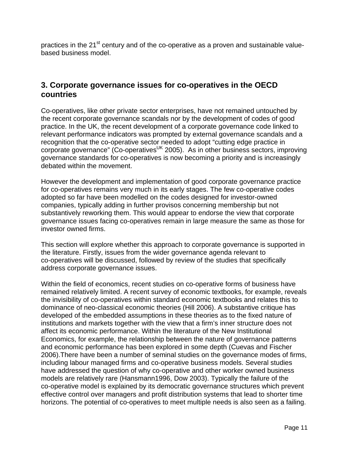<span id="page-12-0"></span>practices in the 21<sup>st</sup> century and of the co-operative as a proven and sustainable valuebased business model.

### **3. Corporate governance issues for co-operatives in the OECD countries**

Co-operatives, like other private sector enterprises, have not remained untouched by the recent corporate governance scandals nor by the development of codes of good practice. In the UK, the recent development of a corporate governance code linked to relevant performance indicators was prompted by external governance scandals and a recognition that the co-operative sector needed to adopt "cutting edge practice in corporate governance" (Co-operatives<sup>UK</sup> 2005). As in other business sectors, improving governance standards for co-operatives is now becoming a priority and is increasingly debated within the movement.

However the development and implementation of good corporate governance practice for co-operatives remains very much in its early stages. The few co-operative codes adopted so far have been modelled on the codes designed for investor-owned companies, typically adding in further provisos concerning membership but not substantively reworking them. This would appear to endorse the view that corporate governance issues facing co-operatives remain in large measure the same as those for investor owned firms.

This section will explore whether this approach to corporate governance is supported in the literature. Firstly, issues from the wider governance agenda relevant to co-operatives will be discussed, followed by review of the studies that specifically address corporate governance issues.

Within the field of economics, recent studies on co-operative forms of business have remained relatively limited. A recent survey of economic textbooks, for example, reveals the invisibility of co-operatives within standard economic textbooks and relates this to dominance of neo-classical economic theories (Hill 2006). A substantive critique has developed of the embedded assumptions in these theories as to the fixed nature of institutions and markets together with the view that a firm's inner structure does not affect its economic performance. Within the literature of the New Institutional Economics, for example, the relationship between the nature of governance patterns and economic performance has been explored in some depth (Cuevas and Fischer 2006).There have been a number of seminal studies on the governance modes of firms, including labour managed firms and co-operative business models. Several studies have addressed the question of why co-operative and other worker owned business models are relatively rare (Hansmann1996, Dow 2003). Typically the failure of the co-operative model is explained by its democratic governance structures which prevent effective control over managers and profit distribution systems that lead to shorter time horizons. The potential of co-operatives to meet multiple needs is also seen as a failing.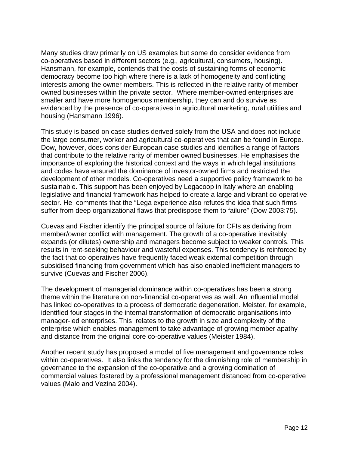Many studies draw primarily on US examples but some do consider evidence from co-operatives based in different sectors (e.g., agricultural, consumers, housing). Hansmann, for example, contends that the costs of sustaining forms of economic democracy become too high where there is a lack of homogeneity and conflicting interests among the owner members. This is reflected in the relative rarity of memberowned businesses within the private sector. Where member-owned enterprises are smaller and have more homogenous membership, they can and do survive as evidenced by the presence of co-operatives in agricultural marketing, rural utilities and housing (Hansmann 1996).

This study is based on case studies derived solely from the USA and does not include the large consumer, worker and agricultural co-operatives that can be found in Europe. Dow, however, does consider European case studies and identifies a range of factors that contribute to the relative rarity of member owned businesses. He emphasises the importance of exploring the historical context and the ways in which legal institutions and codes have ensured the dominance of investor-owned firms and restricted the development of other models. Co-operatives need a supportive policy framework to be sustainable. This support has been enjoyed by Legacoop in Italy where an enabling legislative and financial framework has helped to create a large and vibrant co-operative sector. He comments that the "Lega experience also refutes the idea that such firms suffer from deep organizational flaws that predispose them to failure" (Dow 2003:75).

Cuevas and Fischer identify the principal source of failure for CFIs as deriving from member/owner conflict with management. The growth of a co-operative inevitably expands (or dilutes) ownership and managers become subject to weaker controls. This results in rent-seeking behaviour and wasteful expenses. This tendency is reinforced by the fact that co-operatives have frequently faced weak external competition through subsidised financing from government which has also enabled inefficient managers to survive (Cuevas and Fischer 2006).

The development of managerial dominance within co-operatives has been a strong theme within the literature on non-financial co-operatives as well. An influential model has linked co-operatives to a process of democratic degeneration. Meister, for example, identified four stages in the internal transformation of democratic organisations into manager-led enterprises. This relates to the growth in size and complexity of the enterprise which enables management to take advantage of growing member apathy and distance from the original core co-operative values (Meister 1984).

Another recent study has proposed a model of five management and governance roles within co-operatives. It also links the tendency for the diminishing role of membership in governance to the expansion of the co-operative and a growing domination of commercial values fostered by a professional management distanced from co-operative values (Malo and Vezina 2004).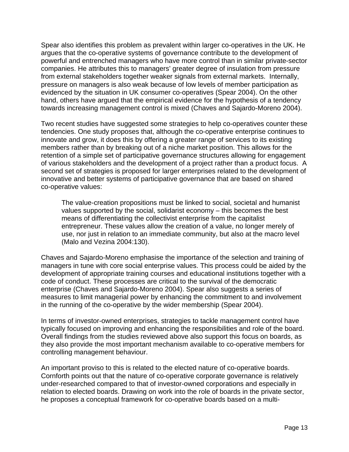Spear also identifies this problem as prevalent within larger co-operatives in the UK. He argues that the co-operative systems of governance contribute to the development of powerful and entrenched managers who have more control than in similar private-sector companies. He attributes this to managers' greater degree of insulation from pressure from external stakeholders together weaker signals from external markets. Internally, pressure on managers is also weak because of low levels of member participation as evidenced by the situation in UK consumer co-operatives (Spear 2004). On the other hand, others have argued that the empirical evidence for the hypothesis of a tendency towards increasing management control is mixed (Chaves and Sajardo-Moreno 2004).

Two recent studies have suggested some strategies to help co-operatives counter these tendencies. One study proposes that, although the co-operative enterprise continues to innovate and grow, it does this by offering a greater range of services to its existing members rather than by breaking out of a niche market position. This allows for the retention of a simple set of participative governance structures allowing for engagement of various stakeholders and the development of a project rather than a product focus. A second set of strategies is proposed for larger enterprises related to the development of innovative and better systems of participative governance that are based on shared co-operative values:

The value-creation propositions must be linked to social, societal and humanist values supported by the social, solidarist economy – this becomes the best means of differentiating the collectivist enterprise from the capitalist entrepreneur. These values allow the creation of a value, no longer merely of use, nor just in relation to an immediate community, but also at the macro level (Malo and Vezina 2004:130).

Chaves and Sajardo-Moreno emphasise the importance of the selection and training of managers in tune with core social enterprise values. This process could be aided by the development of appropriate training courses and educational institutions together with a code of conduct. These processes are critical to the survival of the democratic enterprise (Chaves and Sajardo-Moreno 2004). Spear also suggests a series of measures to limit managerial power by enhancing the commitment to and involvement in the running of the co-operative by the wider membership (Spear 2004).

In terms of investor-owned enterprises, strategies to tackle management control have typically focused on improving and enhancing the responsibilities and role of the board. Overall findings from the studies reviewed above also support this focus on boards, as they also provide the most important mechanism available to co-operative members for controlling management behaviour.

An important proviso to this is related to the elected nature of co-operative boards. Cornforth points out that the nature of co-operative corporate governance is relatively under-researched compared to that of investor-owned corporations and especially in relation to elected boards. Drawing on work into the role of boards in the private sector, he proposes a conceptual framework for co-operative boards based on a multi-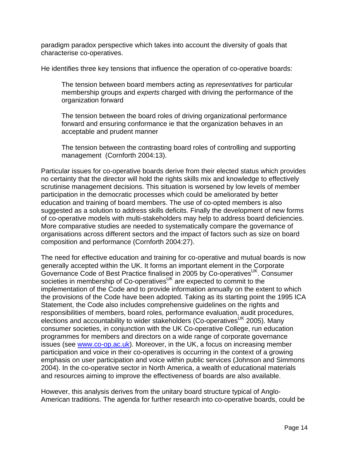paradigm paradox perspective which takes into account the diversity of goals that characterise co-operatives.

He identifies three key tensions that influence the operation of co-operative boards:

The tension between board members acting as *representatives* for particular membership groups and *experts* charged with driving the performance of the organization forward

The tension between the board roles of driving organizational performance forward and ensuring conformance ie that the organization behaves in an acceptable and prudent manner

The tension between the contrasting board roles of controlling and supporting management (Cornforth 2004:13).

Particular issues for co-operative boards derive from their elected status which provides no certainty that the director will hold the rights skills mix and knowledge to effectively scrutinise management decisions. This situation is worsened by low levels of member participation in the democratic processes which could be ameliorated by better education and training of board members. The use of co-opted members is also suggested as a solution to address skills deficits. Finally the development of new forms of co-operative models with multi-stakeholders may help to address board deficiencies. More comparative studies are needed to systematically compare the governance of organisations across different sectors and the impact of factors such as size on board composition and performance (Cornforth 2004:27).

The need for effective education and training for co-operative and mutual boards is now generally accepted within the UK. It forms an important element in the Corporate Governance Code of Best Practice finalised in 2005 by Co-operatives<sup>UK</sup>. Consumer societies in membership of Co-operatives<sup>UK</sup> are expected to commit to the implementation of the Code and to provide information annually on the extent to which the provisions of the Code have been adopted. Taking as its starting point the 1995 ICA Statement, the Code also includes comprehensive guidelines on the rights and responsibilities of members, board roles, performance evaluation, audit procedures, elections and accountability to wider stakeholders (Co-operatives<sup>UK</sup> 2005). Many consumer societies, in conjunction with the UK Co-operative College, run education programmes for members and directors on a wide range of corporate governance issues (see [www.co-op.ac.uk](http://www.co-op.ac.uk/)). Moreover, in the UK, a focus on increasing member participation and voice in their co-operatives is occurring in the context of a growing emphasis on user participation and voice within public services (Johnson and Simmons 2004). In the co-operative sector in North America, a wealth of educational materials and resources aiming to improve the effectiveness of boards are also available.

However, this analysis derives from the unitary board structure typical of Anglo-American traditions. The agenda for further research into co-operative boards, could be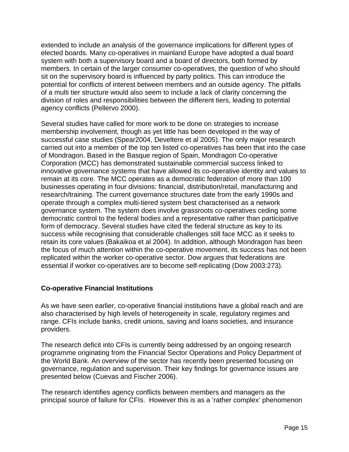<span id="page-16-0"></span>extended to include an analysis of the governance implications for different types of elected boards. Many co-operatives in mainland Europe have adopted a dual board system with both a supervisory board and a board of directors, both formed by members. In certain of the larger consumer co-operatives, the question of who should sit on the supervisory board is influenced by party politics. This can introduce the potential for conflicts of interest between members and an outside agency. The pitfalls of a multi tier structure would also seem to include a lack of clarity concerning the division of roles and responsibilities between the different tiers, leading to potential agency conflicts (Pellervo 2000).

Several studies have called for more work to be done on strategies to increase membership involvement, though as yet little has been developed in the way of successful case studies (Spear2004, Develtere et al 2005). The only major research carried out into a member of the top ten listed co-operatives has been that into the case of Mondragon. Based in the Basque region of Spain, Mondragon Co-operative Corporation (MCC) has demonstrated sustainable commercial success linked to innovative governance systems that have allowed its co-operative identity and values to remain at its core. The MCC operates as a democratic federation of more than 100 businesses operating in four divisions: financial, distribution/retail, manufacturing and research/training. The current governance structures date from the early 1990s and operate through a complex multi-tiered system best characterised as a network governance system. The system does involve grassroots co-operatives ceding some democratic control to the federal bodies and a representative rather than participative form of democracy. Several studies have cited the federal structure as key to its success while recognising that considerable challenges still face MCC as it seeks to retain its core values (Bakaikoa et al 2004). In addition, although Mondragon has been the focus of much attention within the co-operative movement, its success has not been replicated within the worker co-operative sector. Dow argues that federations are essential if worker co-operatives are to become self-replicating (Dow 2003:273).

### **Co-operative Financial Institutions**

As we have seen earlier, co-operative financial institutions have a global reach and are also characterised by high levels of heterogeneity in scale, regulatory regimes and range. CFIs include banks, credit unions, saving and loans societies, and insurance providers.

The research deficit into CFIs is currently being addressed by an ongoing research programme originating from the Financial Sector Operations and Policy Department of the World Bank. An overview of the sector has recently been presented focusing on governance, regulation and supervision. Their key findings for governance issues are presented below (Cuevas and Fischer 2006).

The research identifies agency conflicts between members and managers as the principal source of failure for CFIs. However this is as a 'rather complex' phenomenon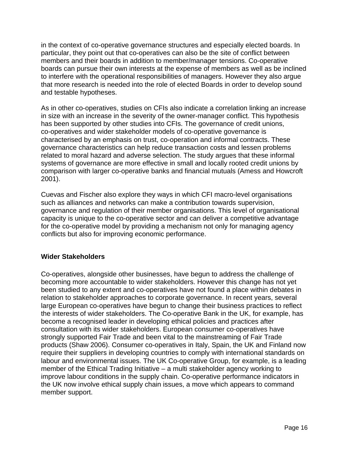<span id="page-17-0"></span>in the context of co-operative governance structures and especially elected boards. In particular, they point out that co-operatives can also be the site of conflict between members and their boards in addition to member/manager tensions. Co-operative boards can pursue their own interests at the expense of members as well as be inclined to interfere with the operational responsibilities of managers. However they also argue that more research is needed into the role of elected Boards in order to develop sound and testable hypotheses.

As in other co-operatives, studies on CFIs also indicate a correlation linking an increase in size with an increase in the severity of the owner-manager conflict. This hypothesis has been supported by other studies into CFIs. The governance of credit unions, co-operatives and wider stakeholder models of co-operative governance is characterised by an emphasis on trust, co-operation and informal contracts. These governance characteristics can help reduce transaction costs and lessen problems related to moral hazard and adverse selection. The study argues that these informal systems of governance are more effective in small and locally rooted credit unions by comparison with larger co-operative banks and financial mutuals (Amess and Howcroft 2001).

Cuevas and Fischer also explore they ways in which CFI macro-level organisations such as alliances and networks can make a contribution towards supervision, governance and regulation of their member organisations. This level of organisational capacity is unique to the co-operative sector and can deliver a competitive advantage for the co-operative model by providing a mechanism not only for managing agency conflicts but also for improving economic performance.

### **Wider Stakeholders**

Co-operatives, alongside other businesses, have begun to address the challenge of becoming more accountable to wider stakeholders. However this change has not yet been studied to any extent and co-operatives have not found a place within debates in relation to stakeholder approaches to corporate governance. In recent years, several large European co-operatives have begun to change their business practices to reflect the interests of wider stakeholders. The Co-operative Bank in the UK, for example, has become a recognised leader in developing ethical policies and practices after consultation with its wider stakeholders. European consumer co-operatives have strongly supported Fair Trade and been vital to the mainstreaming of Fair Trade products (Shaw 2006). Consumer co-operatives in Italy, Spain, the UK and Finland now require their suppliers in developing countries to comply with international standards on labour and environmental issues. The UK Co-operative Group, for example, is a leading member of the Ethical Trading Initiative – a multi stakeholder agency working to improve labour conditions in the supply chain. Co-operative performance indicators in the UK now involve ethical supply chain issues, a move which appears to command member support.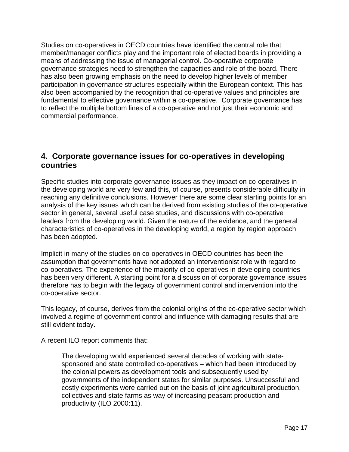<span id="page-18-0"></span>Studies on co-operatives in OECD countries have identified the central role that member/manager conflicts play and the important role of elected boards in providing a means of addressing the issue of managerial control. Co-operative corporate governance strategies need to strengthen the capacities and role of the board. There has also been growing emphasis on the need to develop higher levels of member participation in governance structures especially within the European context. This has also been accompanied by the recognition that co-operative values and principles are fundamental to effective governance within a co-operative. Corporate governance has to reflect the multiple bottom lines of a co-operative and not just their economic and commercial performance.

### **4. Corporate governance issues for co-operatives in developing countries**

Specific studies into corporate governance issues as they impact on co-operatives in the developing world are very few and this, of course, presents considerable difficulty in reaching any definitive conclusions. However there are some clear starting points for an analysis of the key issues which can be derived from existing studies of the co-operative sector in general, several useful case studies, and discussions with co-operative leaders from the developing world. Given the nature of the evidence, and the general characteristics of co-operatives in the developing world, a region by region approach has been adopted.

Implicit in many of the studies on co-operatives in OECD countries has been the assumption that governments have not adopted an interventionist role with regard to co-operatives. The experience of the majority of co-operatives in developing countries has been very different. A starting point for a discussion of corporate governance issues therefore has to begin with the legacy of government control and intervention into the co-operative sector.

This legacy, of course, derives from the colonial origins of the co-operative sector which involved a regime of government control and influence with damaging results that are still evident today.

A recent ILO report comments that:

The developing world experienced several decades of working with statesponsored and state controlled co-operatives – which had been introduced by the colonial powers as development tools and subsequently used by governments of the independent states for similar purposes. Unsuccessful and costly experiments were carried out on the basis of joint agricultural production, collectives and state farms as way of increasing peasant production and productivity (ILO 2000:11).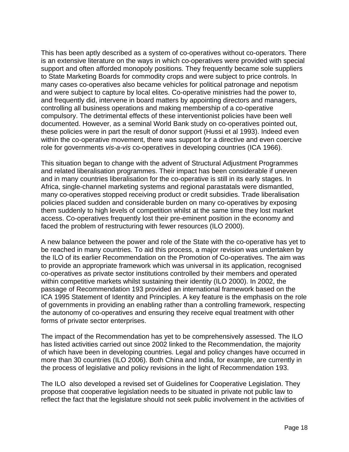This has been aptly described as a system of co-operatives without co-operators. There is an extensive literature on the ways in which co-operatives were provided with special support and often afforded monopoly positions. They frequently became sole suppliers to State Marketing Boards for commodity crops and were subject to price controls. In many cases co-operatives also became vehicles for political patronage and nepotism and were subject to capture by local elites. Co-operative ministries had the power to, and frequently did, intervene in board matters by appointing directors and managers, controlling all business operations and making membership of a co-operative compulsory. The detrimental effects of these interventionist policies have been well documented. However, as a seminal World Bank study on co-operatives pointed out, these policies were in part the result of donor support (Hussi et al 1993). Indeed even within the co-operative movement, there was support for a directive and even coercive role for governments *vis-a-vis* co-operatives in developing countries (ICA 1966).

This situation began to change with the advent of Structural Adjustment Programmes and related liberalisation programmes. Their impact has been considerable if uneven and in many countries liberalisation for the co-operative is still in its early stages. In Africa, single-channel marketing systems and regional parastatals were dismantled, many co-operatives stopped receiving product or credit subsidies. Trade liberalisation policies placed sudden and considerable burden on many co-operatives by exposing them suddenly to high levels of competition whilst at the same time they lost market access. Co-operatives frequently lost their pre-eminent position in the economy and faced the problem of restructuring with fewer resources (ILO 2000).

A new balance between the power and role of the State with the co-operative has yet to be reached in many countries. To aid this process, a major revision was undertaken by the ILO of its earlier Recommendation on the Promotion of Co-operatives. The aim was to provide an appropriate framework which was universal in its application, recognised co-operatives as private sector institutions controlled by their members and operated within competitive markets whilst sustaining their identity (ILO 2000). In 2002, the passage of Recommendation 193 provided an international framework based on the ICA 1995 Statement of Identity and Principles. A key feature is the emphasis on the role of governments in providing an enabling rather than a controlling framework, respecting the autonomy of co-operatives and ensuring they receive equal treatment with other forms of private sector enterprises.

The impact of the Recommendation has yet to be comprehensively assessed. The ILO has listed activities carried out since 2002 linked to the Recommendation, the majority of which have been in developing countries. Legal and policy changes have occurred in more than 30 countries (ILO 2006). Both China and India, for example, are currently in the process of legislative and policy revisions in the light of Recommendation 193.

The ILO also developed a revised set of Guidelines for Cooperative Legislation. They propose that cooperative legislation needs to be situated in private not public law to reflect the fact that the legislature should not seek public involvement in the activities of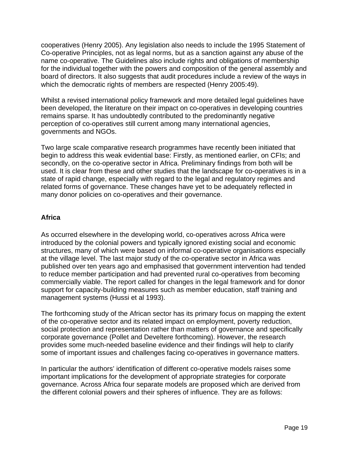<span id="page-20-0"></span>cooperatives (Henry 2005). Any legislation also needs to include the 1995 Statement of Co-operative Principles, not as legal norms, but as a sanction against any abuse of the name co-operative. The Guidelines also include rights and obligations of membership for the individual together with the powers and composition of the general assembly and board of directors. It also suggests that audit procedures include a review of the ways in which the democratic rights of members are respected (Henry 2005:49).

Whilst a revised international policy framework and more detailed legal guidelines have been developed, the literature on their impact on co-operatives in developing countries remains sparse. It has undoubtedly contributed to the predominantly negative perception of co-operatives still current among many international agencies, governments and NGOs.

Two large scale comparative research programmes have recently been initiated that begin to address this weak evidential base: Firstly, as mentioned earlier, on CFIs; and secondly, on the co-operative sector in Africa. Preliminary findings from both will be used. It is clear from these and other studies that the landscape for co-operatives is in a state of rapid change, especially with regard to the legal and regulatory regimes and related forms of governance. These changes have yet to be adequately reflected in many donor policies on co-operatives and their governance.

### **Africa**

As occurred elsewhere in the developing world, co-operatives across Africa were introduced by the colonial powers and typically ignored existing social and economic structures, many of which were based on informal co-operative organisations especially at the village level. The last major study of the co-operative sector in Africa was published over ten years ago and emphasised that government intervention had tended to reduce member participation and had prevented rural co-operatives from becoming commercially viable. The report called for changes in the legal framework and for donor support for capacity-building measures such as member education, staff training and management systems (Hussi et al 1993).

The forthcoming study of the African sector has its primary focus on mapping the extent of the co-operative sector and its related impact on employment, poverty reduction, social protection and representation rather than matters of governance and specifically corporate governance (Pollet and Develtere forthcoming). However, the research provides some much-needed baseline evidence and their findings will help to clarify some of important issues and challenges facing co-operatives in governance matters.

In particular the authors' identification of different co-operative models raises some important implications for the development of appropriate strategies for corporate governance. Across Africa four separate models are proposed which are derived from the different colonial powers and their spheres of influence. They are as follows: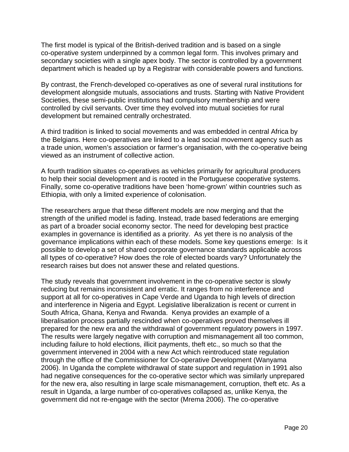The first model is typical of the British-derived tradition and is based on a single co-operative system underpinned by a common legal form. This involves primary and secondary societies with a single apex body. The sector is controlled by a government department which is headed up by a Registrar with considerable powers and functions.

By contrast, the French-developed co-operatives as one of several rural institutions for development alongside mutuals, associations and trusts. Starting with Native Provident Societies, these semi-public institutions had compulsory membership and were controlled by civil servants. Over time they evolved into mutual societies for rural development but remained centrally orchestrated.

A third tradition is linked to social movements and was embedded in central Africa by the Belgians. Here co-operatives are linked to a lead social movement agency such as a trade union, women's association or farmer's organisation, with the co-operative being viewed as an instrument of collective action.

A fourth tradition situates co-operatives as vehicles primarily for agricultural producers to help their social development and is rooted in the Portuguese cooperative systems. Finally, some co-operative traditions have been 'home-grown' within countries such as Ethiopia, with only a limited experience of colonisation.

The researchers argue that these different models are now merging and that the strength of the unified model is fading. Instead, trade based federations are emerging as part of a broader social economy sector. The need for developing best practice examples in governance is identified as a priority. As yet there is no analysis of the governance implications within each of these models. Some key questions emerge: Is it possible to develop a set of shared corporate governance standards applicable across all types of co-operative? How does the role of elected boards vary? Unfortunately the research raises but does not answer these and related questions.

The study reveals that government involvement in the co-operative sector is slowly reducing but remains inconsistent and erratic. It ranges from no interference and support at all for co-operatives in Cape Verde and Uganda to high levels of direction and interference in Nigeria and Egypt. Legislative liberalization is recent or current in South Africa, Ghana, Kenya and Rwanda. Kenya provides an example of a liberalisation process partially rescinded when co-operatives proved themselves ill prepared for the new era and the withdrawal of government regulatory powers in 1997. The results were largely negative with corruption and mismanagement all too common, including failure to hold elections, illicit payments, theft etc., so much so that the government intervened in 2004 with a new Act which reintroduced state regulation through the office of the Commissioner for Co-operative Development (Wanyama 2006). In Uganda the complete withdrawal of state support and regulation in 1991 also had negative consequences for the co-operative sector which was similarly unprepared for the new era, also resulting in large scale mismanagement, corruption, theft etc. As a result in Uganda, a large number of co-operatives collapsed as, unlike Kenya, the government did not re-engage with the sector (Mrema 2006). The co-operative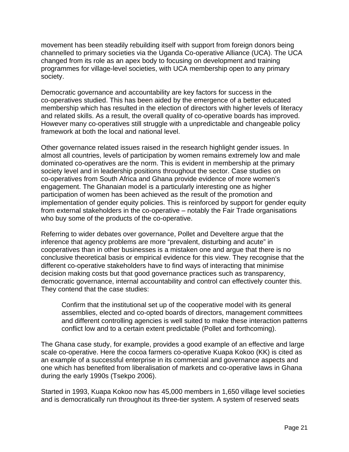movement has been steadily rebuilding itself with support from foreign donors being channelled to primary societies via the Uganda Co-operative Alliance (UCA). The UCA changed from its role as an apex body to focusing on development and training programmes for village-level societies, with UCA membership open to any primary society.

Democratic governance and accountability are key factors for success in the co-operatives studied. This has been aided by the emergence of a better educated membership which has resulted in the election of directors with higher levels of literacy and related skills. As a result, the overall quality of co-operative boards has improved. However many co-operatives still struggle with a unpredictable and changeable policy framework at both the local and national level.

Other governance related issues raised in the research highlight gender issues. In almost all countries, levels of participation by women remains extremely low and male dominated co-operatives are the norm. This is evident in membership at the primary society level and in leadership positions throughout the sector. Case studies on co-operatives from South Africa and Ghana provide evidence of more women's engagement. The Ghanaian model is a particularly interesting one as higher participation of women has been achieved as the result of the promotion and implementation of gender equity policies. This is reinforced by support for gender equity from external stakeholders in the co-operative – notably the Fair Trade organisations who buy some of the products of the co-operative.

Referring to wider debates over governance, Pollet and Develtere argue that the inference that agency problems are more "prevalent, disturbing and acute" in cooperatives than in other businesses is a mistaken one and argue that there is no conclusive theoretical basis or empirical evidence for this view. They recognise that the different co-operative stakeholders have to find ways of interacting that minimise decision making costs but that good governance practices such as transparency, democratic governance, internal accountability and control can effectively counter this. They contend that the case studies:

Confirm that the institutional set up of the cooperative model with its general assemblies, elected and co-opted boards of directors, management committees and different controlling agencies is well suited to make these interaction patterns conflict low and to a certain extent predictable (Pollet and forthcoming).

The Ghana case study, for example, provides a good example of an effective and large scale co-operative. Here the cocoa farmers co-operative Kuapa Kokoo (KK) is cited as an example of a successful enterprise in its commercial and governance aspects and one which has benefited from liberalisation of markets and co-operative laws in Ghana during the early 1990s (Tsekpo 2006).

Started in 1993, Kuapa Kokoo now has 45,000 members in 1,650 village level societies and is democratically run throughout its three-tier system. A system of reserved seats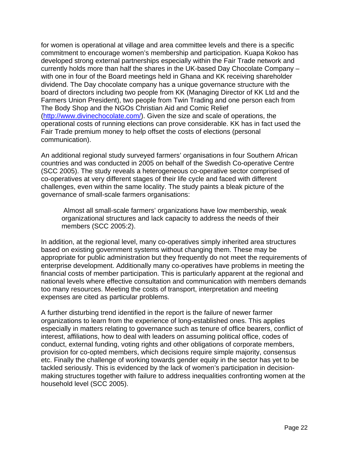for women is operational at village and area committee levels and there is a specific commitment to encourage women's membership and participation. Kuapa Kokoo has developed strong external partnerships especially within the Fair Trade network and currently holds more than half the shares in the UK-based Day Chocolate Company – with one in four of the Board meetings held in Ghana and KK receiving shareholder dividend. The Day chocolate company has a unique governance structure with the board of directors including two people from KK (Managing Director of KK Ltd and the Farmers Union President), two people from Twin Trading and one person each from The Body Shop and the NGOs Christian Aid and Comic Relief (<http://www.divinechocolate.com/>). Given the size and scale of operations, the operational costs of running elections can prove considerable. KK has in fact used the Fair Trade premium money to help offset the costs of elections (personal communication).

An additional regional study surveyed farmers' organisations in four Southern African countries and was conducted in 2005 on behalf of the Swedish Co-operative Centre (SCC 2005). The study reveals a heterogeneous co-operative sector comprised of co-operatives at very different stages of their life cycle and faced with different challenges, even within the same locality. The study paints a bleak picture of the governance of small-scale farmers organisations:

 Almost all small-scale farmers' organizations have low membership, weak organizational structures and lack capacity to address the needs of their members (SCC 2005:2).

In addition, at the regional level, many co-operatives simply inherited area structures based on existing government systems without changing them. These may be appropriate for public administration but they frequently do not meet the requirements of enterprise development. Additionally many co-operatives have problems in meeting the financial costs of member participation. This is particularly apparent at the regional and national levels where effective consultation and communication with members demands too many resources. Meeting the costs of transport, interpretation and meeting expenses are cited as particular problems.

A further disturbing trend identified in the report is the failure of newer farmer organizations to learn from the experience of long-established ones. This applies especially in matters relating to governance such as tenure of office bearers, conflict of interest, affiliations, how to deal with leaders on assuming political office, codes of conduct, external funding, voting rights and other obligations of corporate members, provision for co-opted members, which decisions require simple majority, consensus etc. Finally the challenge of working towards gender equity in the sector has yet to be tackled seriously. This is evidenced by the lack of women's participation in decisionmaking structures together with failure to address inequalities confronting women at the household level (SCC 2005).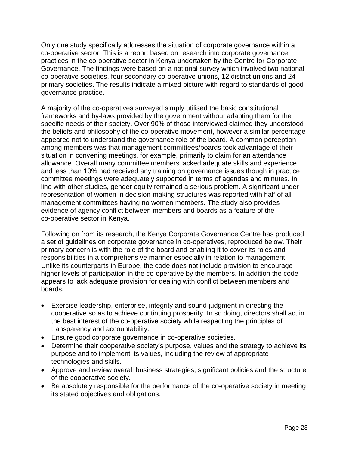Only one study specifically addresses the situation of corporate governance within a co-operative sector. This is a report based on research into corporate governance practices in the co-operative sector in Kenya undertaken by the Centre for Corporate Governance. The findings were based on a national survey which involved two national co-operative societies, four secondary co-operative unions, 12 district unions and 24 primary societies. The results indicate a mixed picture with regard to standards of good governance practice.

A majority of the co-operatives surveyed simply utilised the basic constitutional frameworks and by-laws provided by the government without adapting them for the specific needs of their society. Over 90% of those interviewed claimed they understood the beliefs and philosophy of the co-operative movement, however a similar percentage appeared not to understand the governance role of the board. A common perception among members was that management committees/boards took advantage of their situation in convening meetings, for example, primarily to claim for an attendance allowance. Overall many committee members lacked adequate skills and experience and less than 10% had received any training on governance issues though in practice committee meetings were adequately supported in terms of agendas and minutes. In line with other studies, gender equity remained a serious problem. A significant underrepresentation of women in decision-making structures was reported with half of all management committees having no women members. The study also provides evidence of agency conflict between members and boards as a feature of the co-operative sector in Kenya.

Following on from its research, the Kenya Corporate Governance Centre has produced a set of guidelines on corporate governance in co-operatives, reproduced below. Their primary concern is with the role of the board and enabling it to cover its roles and responsibilities in a comprehensive manner especially in relation to management. Unlike its counterparts in Europe, the code does not include provision to encourage higher levels of participation in the co-operative by the members. In addition the code appears to lack adequate provision for dealing with conflict between members and boards.

- Exercise leadership, enterprise, integrity and sound judgment in directing the cooperative so as to achieve continuing prosperity. In so doing, directors shall act in the best interest of the co-operative society while respecting the principles of transparency and accountability.
- Ensure good corporate governance in co-operative societies.
- Determine their cooperative society's purpose, values and the strategy to achieve its purpose and to implement its values, including the review of appropriate technologies and skills.
- Approve and review overall business strategies, significant policies and the structure of the cooperative society.
- Be absolutely responsible for the performance of the co-operative society in meeting its stated objectives and obligations.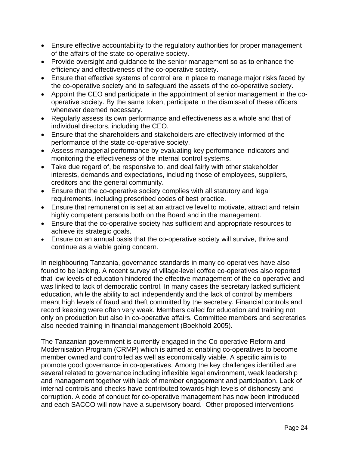- Ensure effective accountability to the regulatory authorities for proper management of the affairs of the state co-operative society.
- Provide oversight and guidance to the senior management so as to enhance the efficiency and effectiveness of the co-operative society.
- Ensure that effective systems of control are in place to manage major risks faced by the co-operative society and to safeguard the assets of the co-operative society.
- Appoint the CEO and participate in the appointment of senior management in the cooperative society. By the same token, participate in the dismissal of these officers whenever deemed necessary.
- Regularly assess its own performance and effectiveness as a whole and that of individual directors, including the CEO.
- Ensure that the shareholders and stakeholders are effectively informed of the performance of the state co-operative society.
- Assess managerial performance by evaluating key performance indicators and monitoring the effectiveness of the internal control systems.
- Take due regard of, be responsive to, and deal fairly with other stakeholder interests, demands and expectations, including those of employees, suppliers, creditors and the general community.
- Ensure that the co-operative society complies with all statutory and legal requirements, including prescribed codes of best practice.
- Ensure that remuneration is set at an attractive level to motivate, attract and retain highly competent persons both on the Board and in the management.
- Ensure that the co-operative society has sufficient and appropriate resources to achieve its strategic goals.
- Ensure on an annual basis that the co-operative society will survive, thrive and continue as a viable going concern.

In neighbouring Tanzania, governance standards in many co-operatives have also found to be lacking. A recent survey of village-level coffee co-operatives also reported that low levels of education hindered the effective management of the co-operative and was linked to lack of democratic control. In many cases the secretary lacked sufficient education, while the ability to act independently and the lack of control by members meant high levels of fraud and theft committed by the secretary. Financial controls and record keeping were often very weak. Members called for education and training not only on production but also in co-operative affairs. Committee members and secretaries also needed training in financial management (Boekhold 2005).

The Tanzanian government is currently engaged in the Co-operative Reform and Modernisation Program (CRMP) which is aimed at enabling co-operatives to become member owned and controlled as well as economically viable. A specific aim is to promote good governance in co-operatives. Among the key challenges identified are several related to governance including inflexible legal environment, weak leadership and management together with lack of member engagement and participation. Lack of internal controls and checks have contributed towards high levels of dishonesty and corruption. A code of conduct for co-operative management has now been introduced and each SACCO will now have a supervisory board. Other proposed interventions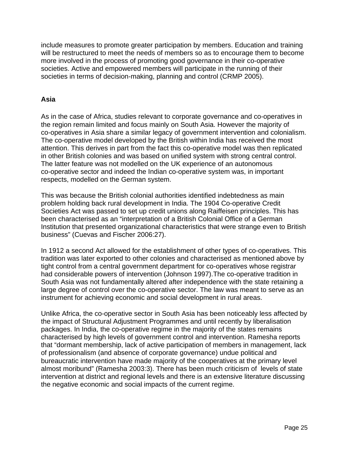<span id="page-26-0"></span>include measures to promote greater participation by members. Education and training will be restructured to meet the needs of members so as to encourage them to become more involved in the process of promoting good governance in their co-operative societies. Active and empowered members will participate in the running of their societies in terms of decision-making, planning and control (CRMP 2005).

### **Asia**

As in the case of Africa, studies relevant to corporate governance and co-operatives in the region remain limited and focus mainly on South Asia. However the majority of co-operatives in Asia share a similar legacy of government intervention and colonialism. The co-operative model developed by the British within India has received the most attention. This derives in part from the fact this co-operative model was then replicated in other British colonies and was based on unified system with strong central control. The latter feature was not modelled on the UK experience of an autonomous co-operative sector and indeed the Indian co-operative system was, in important respects, modelled on the German system.

This was because the British colonial authorities identified indebtedness as main problem holding back rural development in India. The 1904 Co-operative Credit Societies Act was passed to set up credit unions along Raiffeisen principles. This has been characterised as an "interpretation of a British Colonial Office of a German Institution that presented organizational characteristics that were strange even to British business" (Cuevas and Fischer 2006:27).

In 1912 a second Act allowed for the establishment of other types of co-operatives. This tradition was later exported to other colonies and characterised as mentioned above by tight control from a central government department for co-operatives whose registrar had considerable powers of intervention (Johnson 1997).The co-operative tradition in South Asia was not fundamentally altered after independence with the state retaining a large degree of control over the co-operative sector. The law was meant to serve as an instrument for achieving economic and social development in rural areas.

Unlike Africa, the co-operative sector in South Asia has been noticeably less affected by the impact of Structural Adjustment Programmes and until recently by liberalisation packages. In India, the co-operative regime in the majority of the states remains characterised by high levels of government control and intervention. Ramesha reports that "dormant membership, lack of active participation of members in management, lack of professionalism (and absence of corporate governance) undue political and bureaucratic intervention have made majority of the cooperatives at the primary level almost moribund" (Ramesha 2003:3). There has been much criticism of levels of state intervention at district and regional levels and there is an extensive literature discussing the negative economic and social impacts of the current regime.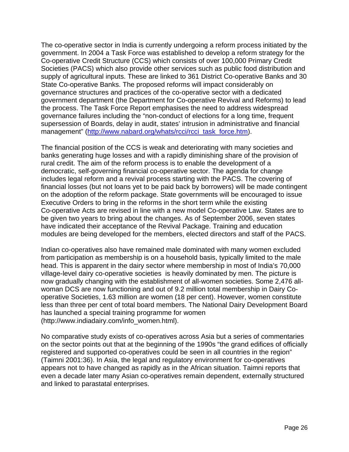The co-operative sector in India is currently undergoing a reform process initiated by the government. In 2004 a Task Force was established to develop a reform strategy for the Co-operative Credit Structure (CCS) which consists of over 100,000 Primary Credit Societies (PACS) which also provide other services such as public food distribution and supply of agricultural inputs. These are linked to 361 District Co-operative Banks and 30 State Co-operative Banks. The proposed reforms will impact considerably on governance structures and practices of the co-operative sector with a dedicated government department (the Department for Co-operative Revival and Reforms) to lead the process. The Task Force Report emphasises the need to address widespread governance failures including the "non-conduct of elections for a long time, frequent supersession of Boards, delay in audit, states' intrusion in administrative and financial management" [\(http://www.nabard.org/whats/rcci/rcci\\_task\\_force.htm\)](http://www.nabard.org/whats/rcci/rcci_task_force.htm).

The financial position of the CCS is weak and deteriorating with many societies and banks generating huge losses and with a rapidly diminishing share of the provision of rural credit. The aim of the reform process is to enable the development of a democratic, self-governing financial co-operative sector. The agenda for change includes legal reform and a revival process starting with the PACS. The covering of financial losses (but not loans yet to be paid back by borrowers) will be made contingent on the adoption of the reform package. State governments will be encouraged to issue Executive Orders to bring in the reforms in the short term while the existing Co-operative Acts are revised in line with a new model Co-operative Law. States are to be given two years to bring about the changes. As of September 2006, seven states have indicated their acceptance of the Revival Package. Training and education modules are being developed for the members, elected directors and staff of the PACS.

Indian co-operatives also have remained male dominated with many women excluded from participation as membership is on a household basis, typically limited to the male head. This is apparent in the dairy sector where membership in most of India's 70,000 village-level dairy co-operative societies is heavily dominated by men. The picture is now gradually changing with the establishment of all-women societies. Some 2,476 allwoman DCS are now functioning and out of 9.2 million total membership in Dairy Cooperative Societies, 1.63 million are women (18 per cent). However, women constitute less than three per cent of total board members. The National Dairy Development Board has launched a special training programme for women (http://www.indiadairy.com/info\_women.html).

No comparative study exists of co-operatives across Asia but a series of commentaries on the sector points out that at the beginning of the 1990s "the grand edifices of officially registered and supported co-operatives could be seen in all countries in the region" (Taimni 2001:36). In Asia, the legal and regulatory environment for co-operatives appears not to have changed as rapidly as in the African situation. Taimni reports that even a decade later many Asian co-operatives remain dependent, externally structured and linked to parastatal enterprises.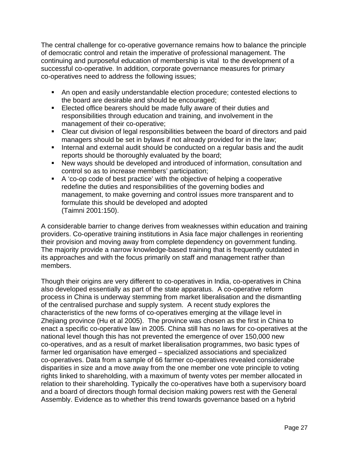The central challenge for co-operative governance remains how to balance the principle of democratic control and retain the imperative of professional management. The continuing and purposeful education of membership is vital to the development of a successful co-operative. In addition, corporate governance measures for primary co-operatives need to address the following issues;

- An open and easily understandable election procedure; contested elections to the board are desirable and should be encouraged;
- **Elected office bearers should be made fully aware of their duties and** responsibilities through education and training, and involvement in the management of their co-operative;
- Clear cut division of legal responsibilities between the board of directors and paid managers should be set in bylaws if not already provided for in the law;
- Internal and external audit should be conducted on a regular basis and the audit reports should be thoroughly evaluated by the board;
- New ways should be developed and introduced of information, consultation and control so as to increase members' participation;
- A 'co-op code of best practice' with the objective of helping a cooperative redefine the duties and responsibilities of the governing bodies and management, to make governing and control issues more transparent and to formulate this should be developed and adopted (Taimni 2001:150).

A considerable barrier to change derives from weaknesses within education and training providers. Co-operative training institutions in Asia face major challenges in reorienting their provision and moving away from complete dependency on government funding. The majority provide a narrow knowledge-based training that is frequently outdated in its approaches and with the focus primarily on staff and management rather than members.

Though their origins are very different to co-operatives in India, co-operatives in China also developed essentially as part of the state apparatus. A co-operative reform process in China is underway stemming from market liberalisation and the dismantling of the centralised purchase and supply system. A recent study explores the characteristics of the new forms of co-operatives emerging at the village level in Zhejiang province (Hu et al 2005). The province was chosen as the first in China to enact a specific co-operative law in 2005. China still has no laws for co-operatives at the national level though this has not prevented the emergence of over 150,000 new co-operatives, and as a result of market liberalisation programmes, two basic types of farmer led organisation have emerged – specialized associations and specialized co-operatives. Data from a sample of 66 farmer co-operatives revealed considerabe disparities in size and a move away from the one member one vote principle to voting rights linked to shareholding, with a maximum of twenty votes per member allocated in relation to their shareholding. Typically the co-operatives have both a supervisory board and a board of directors though formal decision making powers rest with the General Assembly. Evidence as to whether this trend towards governance based on a hybrid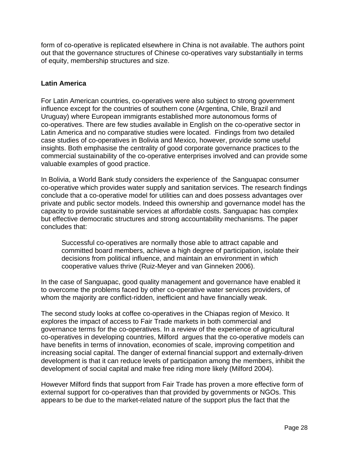<span id="page-29-0"></span>form of co-operative is replicated elsewhere in China is not available. The authors point out that the governance structures of Chinese co-operatives vary substantially in terms of equity, membership structures and size.

### **Latin America**

For Latin American countries, co-operatives were also subject to strong government influence except for the countries of southern cone (Argentina, Chile, Brazil and Uruguay) where European immigrants established more autonomous forms of co-operatives. There are few studies available in English on the co-operative sector in Latin America and no comparative studies were located. Findings from two detailed case studies of co-operatives in Bolivia and Mexico, however, provide some useful insights. Both emphasise the centrality of good corporate governance practices to the commercial sustainability of the co-operative enterprises involved and can provide some valuable examples of good practice.

In Bolivia, a World Bank study considers the experience of the Sanguapac consumer co-operative which provides water supply and sanitation services. The research findings conclude that a co-operative model for utilities can and does possess advantages over private and public sector models. Indeed this ownership and governance model has the capacity to provide sustainable services at affordable costs. Sanguapac has complex but effective democratic structures and strong accountability mechanisms. The paper concludes that:

Successful co-operatives are normally those able to attract capable and committed board members, achieve a high degree of participation, isolate their decisions from political influence, and maintain an environment in which cooperative values thrive (Ruiz-Meyer and van Ginneken 2006).

In the case of Sanguapac, good quality management and governance have enabled it to overcome the problems faced by other co-operative water services providers, of whom the majority are conflict-ridden, inefficient and have financially weak.

The second study looks at coffee co-operatives in the Chiapas region of Mexico. It explores the impact of access to Fair Trade markets in both commercial and governance terms for the co-operatives. In a review of the experience of agricultural co-operatives in developing countries, Milford argues that the co-operative models can have benefits in terms of innovation, economies of scale, improving competition and increasing social capital. The danger of external financial support and externally-driven development is that it can reduce levels of participation among the members, inhibit the development of social capital and make free riding more likely (Milford 2004).

However Milford finds that support from Fair Trade has proven a more effective form of external support for co-operatives than that provided by governments or NGOs. This appears to be due to the market-related nature of the support plus the fact that the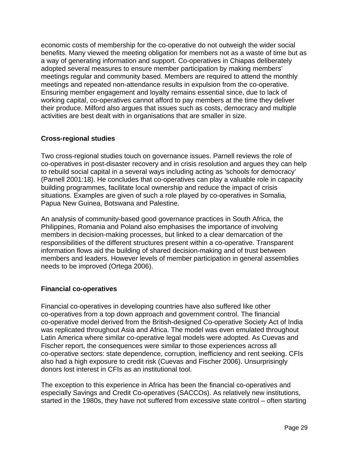<span id="page-30-0"></span>economic costs of membership for the co-operative do not outweigh the wider social benefits. Many viewed the meeting obligation for members not as a waste of time but as a way of generating information and support. Co-operatives in Chiapas deliberately adopted several measures to ensure member participation by making members' meetings regular and community based. Members are required to attend the monthly meetings and repeated non-attendance results in expulsion from the co-operative. Ensuring member engagement and loyalty remains essential since, due to lack of working capital, co-operatives cannot afford to pay members at the time they deliver their produce. Milford also argues that issues such as costs, democracy and multiple activities are best dealt with in organisations that are smaller in size.

### **Cross-regional studies**

Two cross-regional studies touch on governance issues. Parnell reviews the role of co-operatives in post-disaster recovery and in crisis resolution and argues they can help to rebuild social capital in a several ways including acting as 'schools for democracy' (Parnell 2001:18). He concludes that co-operatives can play a valuable role in capacity building programmes, facilitate local ownership and reduce the impact of crisis situations. Examples are given of such a role played by co-operatives in Somalia, Papua New Guinea, Botswana and Palestine.

An analysis of community-based good governance practices in South Africa, the Philippines, Romania and Poland also emphasises the importance of involving members in decision-making processes, but linked to a clear demarcation of the responsibilities of the different structures present within a co-operative. Transparent information flows aid the building of shared decision-making and of trust between members and leaders. However levels of member participation in general assemblies needs to be improved (Ortega 2006).

### **Financial co-operatives**

Financial co-operatives in developing countries have also suffered like other co-operatives from a top down approach and government control. The financial co-operative model derived from the British-designed Co-operative Society Act of India was replicated throughout Asia and Africa. The model was even emulated throughout Latin America where similar co-operative legal models were adopted. As Cuevas and Fischer report, the consequences were similar to those experiences across all co-operative sectors: state dependence, corruption, inefficiency and rent seeking. CFIs also had a high exposure to credit risk (Cuevas and Fischer 2006). Unsurprisingly donors lost interest in CFIs as an institutional tool.

The exception to this experience in Africa has been the financial co-operatives and especially Savings and Credit Co-operatives (SACCOs). As relatively new institutions, started in the 1980s, they have not suffered from excessive state control – often starting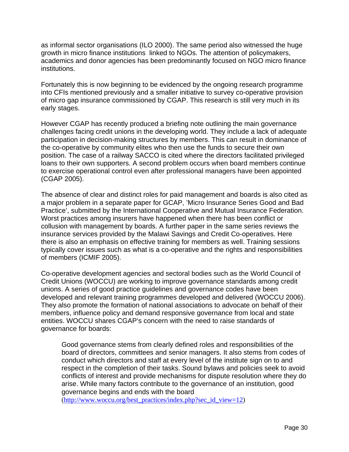as informal sector organisations (ILO 2000). The same period also witnessed the huge growth in micro finance institutions linked to NGOs. The attention of policymakers, academics and donor agencies has been predominantly focused on NGO micro finance institutions.

Fortunately this is now beginning to be evidenced by the ongoing research programme into CFIs mentioned previously and a smaller initiative to survey co-operative provision of micro gap insurance commissioned by CGAP. This research is still very much in its early stages.

However CGAP has recently produced a briefing note outlining the main governance challenges facing credit unions in the developing world. They include a lack of adequate participation in decision-making structures by members. This can result in dominance of the co-operative by community elites who then use the funds to secure their own position. The case of a railway SACCO is cited where the directors facilitated privileged loans to their own supporters. A second problem occurs when board members continue to exercise operational control even after professional managers have been appointed (CGAP 2005).

The absence of clear and distinct roles for paid management and boards is also cited as a major problem in a separate paper for GCAP, 'Micro Insurance Series Good and Bad Practice', submitted by the International Cooperative and Mutual Insurance Federation. Worst practices among insurers have happened when there has been conflict or collusion with management by boards. A further paper in the same series reviews the insurance services provided by the Malawi Savings and Credit Co-operatives. Here there is also an emphasis on effective training for members as well. Training sessions typically cover issues such as what is a co-operative and the rights and responsibilities of members (ICMIF 2005).

Co-operative development agencies and sectoral bodies such as the World Council of Credit Unions (WOCCU) are working to improve governance standards among credit unions. A series of good practice guidelines and governance codes have been developed and relevant training programmes developed and delivered (WOCCU 2006). They also promote the formation of national associations to advocate on behalf of their members, influence policy and demand responsive governance from local and state entities. WOCCU shares CGAP's concern with the need to raise standards of governance for boards:

Good governance stems from clearly defined roles and responsibilities of the board of directors, committees and senior managers. It also stems from codes of conduct which directors and staff at every level of the institute sign on to and respect in the completion of their tasks. Sound bylaws and policies seek to avoid conflicts of interest and provide mechanisms for dispute resolution where they do arise. While many factors contribute to the governance of an institution, good governance begins and ends with the board

 $(http://www.woccu.org/best-practices/index.php?sec_idview=12)$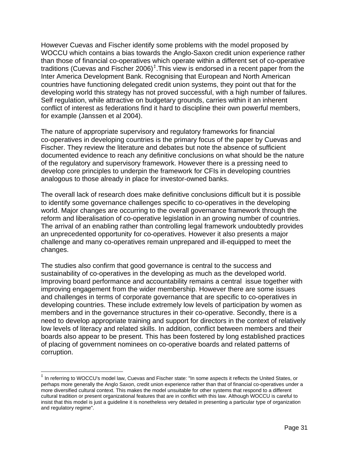However Cuevas and Fischer identify some problems with the model proposed by WOCCU which contains a bias towards the Anglo-Saxon credit union experience rather than those of financial co-operatives which operate within a different set of co-operative traditions (Cuevas and Fischer 2006)<sup> $\ddagger$ </sup>. This view is endorsed in a recent paper from the Inter America Development Bank. Recognising that European and North American countries have functioning delegated credit union systems, they point out that for the developing world this strategy has not proved successful, with a high number of failures. Self regulation, while attractive on budgetary grounds, carries within it an inherent conflict of interest as federations find it hard to discipline their own powerful members, for example (Janssen et al 2004).

The nature of appropriate supervisory and regulatory frameworks for financial co-operatives in developing countries is the primary focus of the paper by Cuevas and Fischer. They review the literature and debates but note the absence of sufficient documented evidence to reach any definitive conclusions on what should be the nature of the regulatory and supervisory framework. However there is a pressing need to develop core principles to underpin the framework for CFIs in developing countries analogous to those already in place for investor-owned banks.

The overall lack of research does make definitive conclusions difficult but it is possible to identify some governance challenges specific to co-operatives in the developing world. Major changes are occurring to the overall governance framework through the reform and liberalisation of co-operative legislation in an growing number of countries. The arrival of an enabling rather than controlling legal framework undoubtedly provides an unprecedented opportunity for co-operatives. However it also presents a major challenge and many co-operatives remain unprepared and ill-equipped to meet the changes.

The studies also confirm that good governance is central to the success and sustainability of co-operatives in the developing as much as the developed world. Improving board performance and accountability remains a central issue together with improving engagement from the wider membership. However there are some issues and challenges in terms of corporate governance that are specific to co-operatives in developing countries. These include extremely low levels of participation by women as members and in the governance structures in their co-operative. Secondly, there is a need to develop appropriate training and support for directors in the context of relatively low levels of literacy and related skills. In addition, conflict between members and their boards also appear to be present. This has been fostered by long established practices of placing of government nominees on co-operative boards and related patterns of corruption.

 $\overline{a}$ 

<span id="page-32-0"></span><sup>‡</sup> In referring to WOCCU's model law, Cuevas and Fischer state: "In some aspects it reflects the United States, or perhaps more generally the Anglo Saxon, credit union experience rather than that of financial co-operatives under a more diversified cultural context. This makes the model unsuitable for other systems that respond to a different cultural tradition or present organizational features that are in conflict with this law. Although WOCCU is careful to insist that this model is just a guideline it is nonetheless very detailed in presenting a particular type of organization and regulatory regime".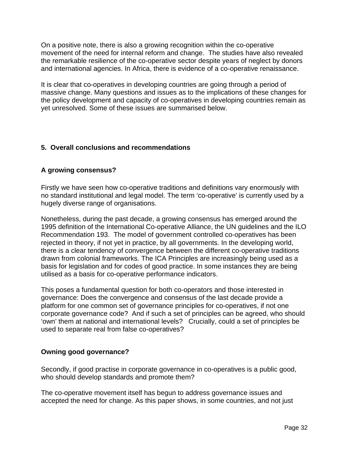<span id="page-33-0"></span>On a positive note, there is also a growing recognition within the co-operative movement of the need for internal reform and change. The studies have also revealed the remarkable resilience of the co-operative sector despite years of neglect by donors and international agencies. In Africa, there is evidence of a co-operative renaissance.

It is clear that co-operatives in developing countries are going through a period of massive change. Many questions and issues as to the implications of these changes for the policy development and capacity of co-operatives in developing countries remain as yet unresolved. Some of these issues are summarised below.

### **5. Overall conclusions and recommendations**

### **A growing consensus?**

Firstly we have seen how co-operative traditions and definitions vary enormously with no standard institutional and legal model. The term 'co-operative' is currently used by a hugely diverse range of organisations.

Nonetheless, during the past decade, a growing consensus has emerged around the 1995 definition of the International Co-operative Alliance, the UN guidelines and the ILO Recommendation 193. The model of government controlled co-operatives has been rejected in theory, if not yet in practice, by all governments. In the developing world, there is a clear tendency of convergence between the different co-operative traditions drawn from colonial frameworks. The ICA Principles are increasingly being used as a basis for legislation and for codes of good practice. In some instances they are being utilised as a basis for co-operative performance indicators.

This poses a fundamental question for both co-operators and those interested in governance: Does the convergence and consensus of the last decade provide a platform for one common set of governance principles for co-operatives, if not one corporate governance code? And if such a set of principles can be agreed, who should 'own' them at national and international levels? Crucially, could a set of principles be used to separate real from false co-operatives?

### **Owning good governance?**

Secondly, if good practise in corporate governance in co-operatives is a public good, who should develop standards and promote them?

The co-operative movement itself has begun to address governance issues and accepted the need for change. As this paper shows, in some countries, and not just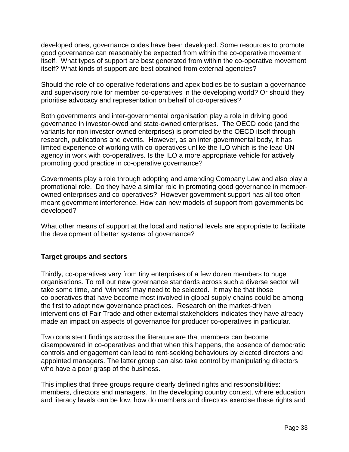<span id="page-34-0"></span>developed ones, governance codes have been developed. Some resources to promote good governance can reasonably be expected from within the co-operative movement itself. What types of support are best generated from within the co-operative movement itself? What kinds of support are best obtained from external agencies?

Should the role of co-operative federations and apex bodies be to sustain a governance and supervisory role for member co-operatives in the developing world? Or should they prioritise advocacy and representation on behalf of co-operatives?

Both governments and inter-governmental organisation play a role in driving good governance in investor-owed and state-owned enterprises. The OECD code (and the variants for non investor-owned enterprises) is promoted by the OECD itself through research, publications and events. However, as an inter-governmental body, it has limited experience of working with co-operatives unlike the ILO which is the lead UN agency in work with co-operatives. Is the ILO a more appropriate vehicle for actively promoting good practice in co-operative governance?

Governments play a role through adopting and amending Company Law and also play a promotional role. Do they have a similar role in promoting good governance in memberowned enterprises and co-operatives? However government support has all too often meant government interference. How can new models of support from governments be developed?

What other means of support at the local and national levels are appropriate to facilitate the development of better systems of governance?

### **Target groups and sectors**

Thirdly, co-operatives vary from tiny enterprises of a few dozen members to huge organisations. To roll out new governance standards across such a diverse sector will take some time, and 'winners' may need to be selected. It may be that those co-operatives that have become most involved in global supply chains could be among the first to adopt new governance practices. Research on the market-driven interventions of Fair Trade and other external stakeholders indicates they have already made an impact on aspects of governance for producer co-operatives in particular.

Two consistent findings across the literature are that members can become disempowered in co-operatives and that when this happens, the absence of democratic controls and engagement can lead to rent-seeking behaviours by elected directors and appointed managers. The latter group can also take control by manipulating directors who have a poor grasp of the business.

This implies that three groups require clearly defined rights and responsibilities: members, directors and managers. In the developing country context, where education and literacy levels can be low, how do members and directors exercise these rights and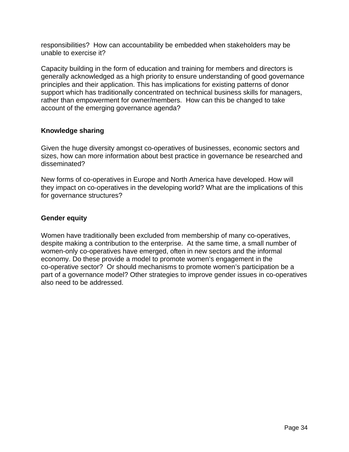<span id="page-35-0"></span>responsibilities? How can accountability be embedded when stakeholders may be unable to exercise it?

Capacity building in the form of education and training for members and directors is generally acknowledged as a high priority to ensure understanding of good governance principles and their application. This has implications for existing patterns of donor support which has traditionally concentrated on technical business skills for managers, rather than empowerment for owner/members. How can this be changed to take account of the emerging governance agenda?

### **Knowledge sharing**

Given the huge diversity amongst co-operatives of businesses, economic sectors and sizes, how can more information about best practice in governance be researched and disseminated?

New forms of co-operatives in Europe and North America have developed. How will they impact on co-operatives in the developing world? What are the implications of this for governance structures?

### **Gender equity**

Women have traditionally been excluded from membership of many co-operatives, despite making a contribution to the enterprise. At the same time, a small number of women-only co-operatives have emerged, often in new sectors and the informal economy. Do these provide a model to promote women's engagement in the co-operative sector? Or should mechanisms to promote women's participation be a part of a governance model? Other strategies to improve gender issues in co-operatives also need to be addressed.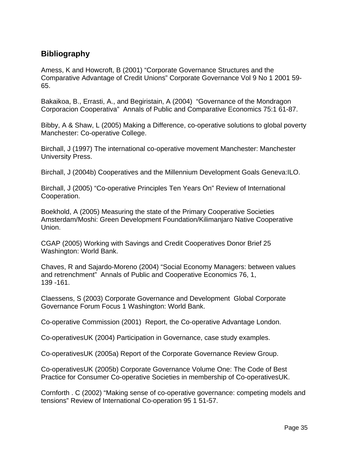### <span id="page-36-0"></span>**Bibliography**

Amess, K and Howcroft, B (2001) "Corporate Governance Structures and the Comparative Advantage of Credit Unions" Corporate Governance Vol 9 No 1 2001 59- 65.

Bakaikoa, B., Errasti, A., and Begiristain, A (2004) "Governance of the Mondragon Corporacion Cooperativa" Annals of Public and Comparative Economics 75:1 61-87.

Bibby, A & Shaw, L (2005) Making a Difference, co-operative solutions to global poverty Manchester: Co-operative College.

Birchall, J (1997) The international co-operative movement Manchester: Manchester University Press.

Birchall, J (2004b) Cooperatives and the Millennium Development Goals Geneva:ILO.

Birchall, J (2005) "Co-operative Principles Ten Years On" Review of International Cooperation.

Boekhold, A (2005) Measuring the state of the Primary Cooperative Societies Amsterdam/Moshi: Green Development Foundation/Kilimanjaro Native Cooperative Union.

CGAP (2005) Working with Savings and Credit Cooperatives Donor Brief 25 Washington: World Bank.

Chaves, R and Sajardo-Moreno (2004) "Social Economy Managers: between values and retrenchment" Annals of Public and Cooperative Economics 76, 1, 139 -161.

Claessens, S (2003) Corporate Governance and Development Global Corporate Governance Forum Focus 1 Washington: World Bank.

Co-operative Commission (2001) Report, the Co-operative Advantage London.

Co-operativesUK (2004) Participation in Governance, case study examples.

Co-operativesUK (2005a) Report of the Corporate Governance Review Group.

Co-operativesUK (2005b) Corporate Governance Volume One: The Code of Best Practice for Consumer Co-operative Societies in membership of Co-operativesUK.

Cornforth . C (2002) "Making sense of co-operative governance: competing models and tensions" Review of International Co-operation 95 1 51-57.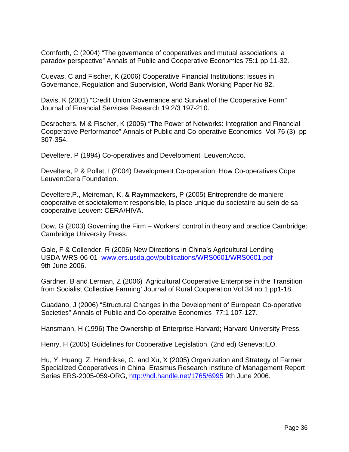Cornforth, C (2004) "The governance of cooperatives and mutual associations: a paradox perspective" Annals of Public and Cooperative Economics 75:1 pp 11-32.

Cuevas, C and Fischer, K (2006) Cooperative Financial Institutions: Issues in Governance, Regulation and Supervision, World Bank Working Paper No 82.

Davis, K (2001) "Credit Union Governance and Survival of the Cooperative Form" Journal of Financial Services Research 19:2/3 197-210.

Desrochers, M & Fischer, K (2005) "The Power of Networks: Integration and Financial Cooperative Performance" Annals of Public and Co-operative Economics Vol 76 (3) pp 307-354.

Develtere, P (1994) Co-operatives and Development Leuven:Acco.

Develtere, P & Pollet, I (2004) Development Co-operation: How Co-operatives Cope Leuven:Cera Foundation.

Develtere,P., Meireman, K. & Raymmaekers, P (2005) Entreprendre de maniere cooperative et societalement responsible, la place unique du societaire au sein de sa cooperative Leuven: CERA/HIVA.

Dow, G (2003) Governing the Firm – Workers' control in theory and practice Cambridge: Cambridge University Press.

Gale, F & Collender, R (2006) New Directions in China's Agricultural Lending USDA WRS-06-01 [www.ers.usda.gov/publications/WRS0601/WRS0601.pdf](http://www.ers.usda.gov/publications/WRS0601/WRS0601.pdf) 9th June 2006.

Gardner, B and Lerman, Z (2006) 'Agricultural Cooperative Enterprise in the Transition from Socialist Collective Farming' Journal of Rural Cooperation Vol 34 no 1 pp1-18.

Guadano, J (2006) "Structural Changes in the Development of European Co-operative Societies" Annals of Public and Co-operative Economics 77:1 107-127.

Hansmann, H (1996) The Ownership of Enterprise Harvard; Harvard University Press.

Henry, H (2005) Guidelines for Cooperative Legislation (2nd ed) Geneva:ILO.

Hu, Y. Huang, Z. Hendrikse, G. and Xu, X (2005) Organization and Strategy of Farmer Specialized Cooperatives in China Erasmus Research Institute of Management Report Series ERS-2005-059-ORG, <http://hdl.handle.net/1765/6995> 9th June 2006.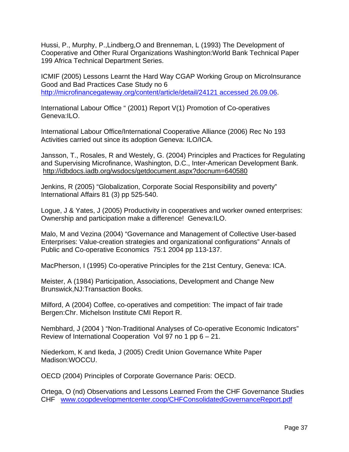Hussi, P., Murphy, P.,Lindberg,O and Brenneman, L (1993) The Development of Cooperative and Other Rural Organizations Washington:World Bank Technical Paper 199 Africa Technical Department Series.

ICMIF (2005) Lessons Learnt the Hard Way CGAP Working Group on MicroInsurance Good and Bad Practices Case Study no 6 [http://microfinancegateway.org/content/article/detail/24121 accessed 26.09.06](http://microfinancegateway.org/content/article/detail/24121%20accessed%2026.09.06).

International Labour Office " (2001) Report V(1) Promotion of Co-operatives Geneva:ILO.

International Labour Office/International Cooperative Alliance (2006) Rec No 193 Activities carried out since its adoption Geneva: ILO/ICA.

Jansson, T., Rosales, R and Westely, G. (2004) Principles and Practices for Regulating and Supervising Microfinance, Washington, D.C., Inter-American Development Bank. <http://idbdocs.iadb.org/wsdocs/getdocument.aspx?docnum=640580>

Jenkins, R (2005) "Globalization, Corporate Social Responsibility and poverty" International Affairs 81 (3) pp 525-540.

Logue, J & Yates, J (2005) Productivity in cooperatives and worker owned enterprises: Ownership and participation make a difference! Geneva:ILO.

Malo, M and Vezina (2004) "Governance and Management of Collective User-based Enterprises: Value-creation strategies and organizational configurations" Annals of Public and Co-operative Economics 75:1 2004 pp 113-137.

MacPherson, I (1995) Co-operative Principles for the 21st Century, Geneva: ICA.

Meister, A (1984) Participation, Associations, Development and Change New Brunswick,NJ:Transaction Books.

Milford, A (2004) Coffee, co-operatives and competition: The impact of fair trade Bergen:Chr. Michelson Institute CMI Report R.

Nembhard, J (2004 ) "Non-Traditional Analyses of Co-operative Economic Indicators" Review of International Cooperation Vol 97 no 1 pp 6 – 21.

Niederkom, K and Ikeda, J (2005) Credit Union Governance White Paper Madison:WOCCU.

OECD (2004) Principles of Corporate Governance Paris: OECD.

Ortega, O (nd) Observations and Lessons Learned From the CHF Governance Studies CHF [www.coopdevelopmentcenter.coop/CHFConsolidatedGovernanceReport.pdf](http://www.coopdevelopmentcenter.coop/CHFConsolidatedGovernanceReport.pdf)